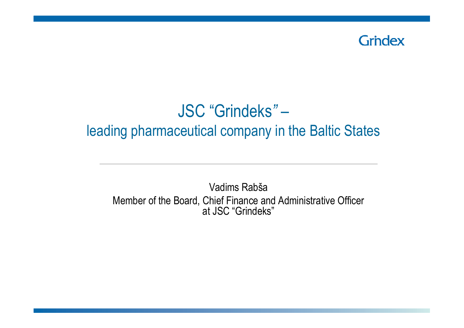

#### JSC "Grindeks*"* –leading pharmaceutical company in the Baltic States

Vadims Rabša Member of the Board, Chief Finance and Administrative Officer at JSC "Grindeks"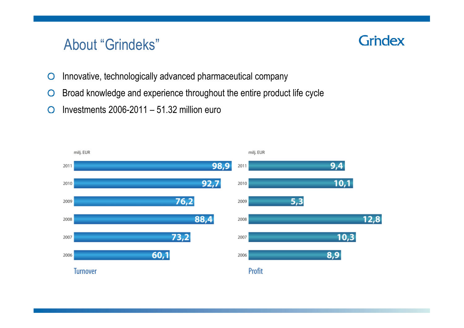#### About "Grindeks"

- Innovative, technologically advanced pharmaceutical company  $\overline{O}$
- Broad knowledge and experience throughout the entire product life cycle $\bigcirc$
- Investments 2006-2011 51.32 million euro $\overline{O}$

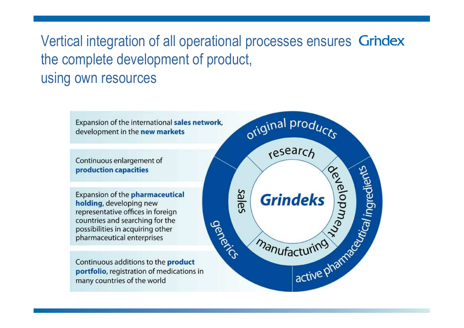# Vertical integration of all operational processes ensures Grindex the complete development of product, using own resources

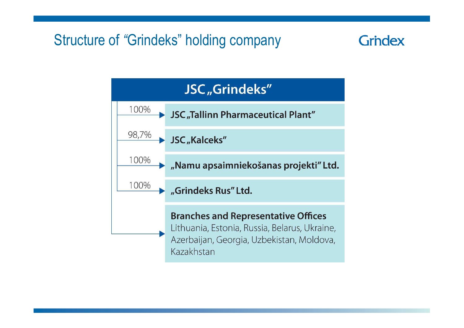## Structure of *"*Grindeks" holding company

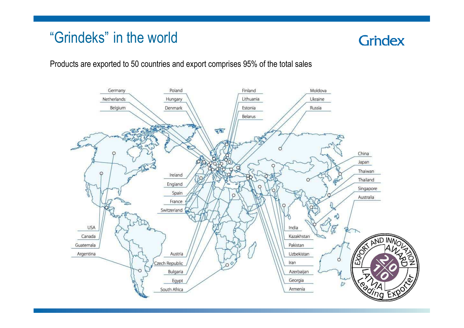## "Grindeks" in the world

## **Grindex**

Products are exported to 50 countries and export comprises 95% of the total sales

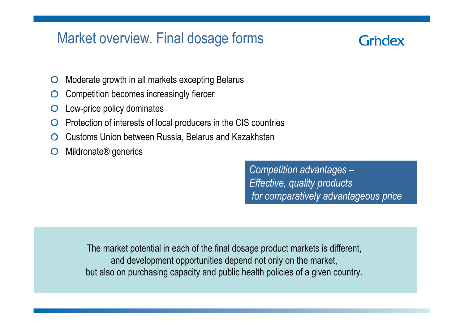## Market overview. Final dosage forms

## Grndex

- Moderate growth in all markets excepting Belarus $\bigcirc$
- Competition becomes increasingly fiercer  $\bigcirc$
- Low-price policy dominates $\bigcirc$
- Protection of interests of local producers in the CIS countries  $\bigcirc$
- Customs Union between Russia, Belarus and Kazakhstan $\bigcirc$
- Mildronate® generics $\bigcirc$

*Competition advantages – Effective, quality productsfor comparatively advantageous price*

The market potential in each of the final dosage product markets is different, and development opportunities depend not only on the market, but also on purchasing capacity and public health policies of a given country.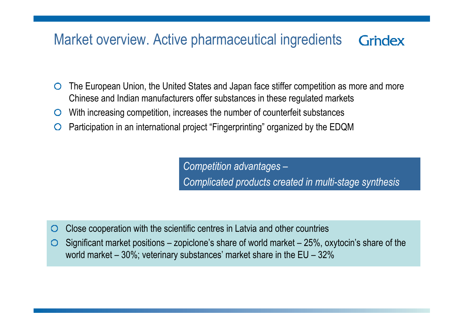#### Market overview. Active pharmaceutical ingredients**Grindex**

- The European Union, the United States and Japan face stiffer competition as more and more  $\bigcirc$ Chinese and Indian manufacturers offer substances in these regulated markets
- With increasing competition, increases the number of counterfeit substances  $\circ$
- Participation in an international project "Fingerprinting" organized by the EDQM $\bigcirc$

*Competition advantages –Complicated products created in multi-stage synthesis*

- Close cooperation with the scientific centres in Latvia and other countries $\bigcirc$
- Significant market positions zopiclone's share of world market 25%, oxytocin's share of the  $\bigcirc$ world market – 30%; veterinary substances' market share in the EU – 32%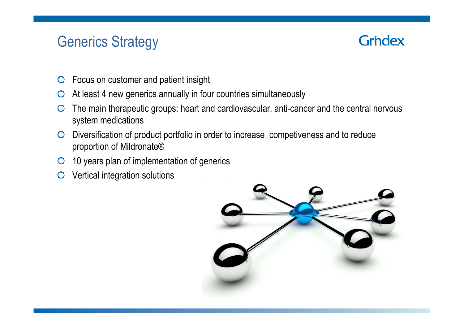## Generics Strategy

- Focus on customer and patient insight $\overline{O}$
- At least 4 new generics annually in four countries simultaneously
- The main therapeutic groups: heart and cardiovascular, anti-cancer and the central nervous  $\bigcirc$ system medications
- Diversification of product portfolio in order to increase competiveness and to reduce proportion of Mildronate®
- 10 years plan of implementation of generics
- Vertical integration solutions

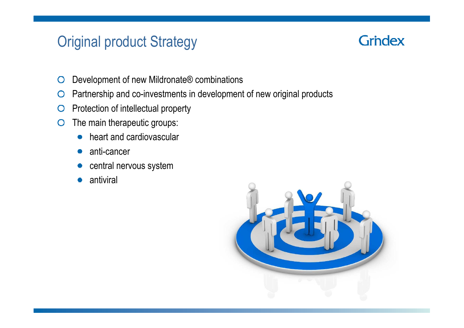## Original product Strategy

- Development of new Mildronate® combinations $\bigcirc$
- Partnership and co-investments in development of new original products $\bigcirc$
- Protection of intellectual property $\bigcirc$
- The main therapeutic groups:  $\bigcirc$ 
	- heart and cardiovascular $\bullet$
	- anti-cancer $\bullet$
	- central nervous system $\bullet$
	- antiviral $\bullet$

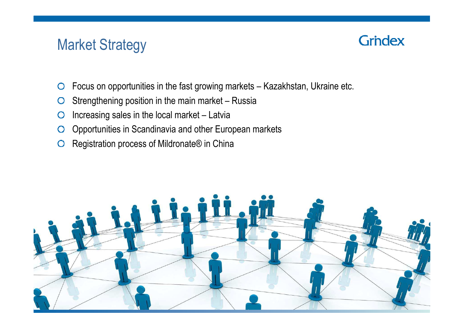## Market Strategy

- Focus on opportunities in the fast growing markets Kazakhstan, Ukraine etc.  $\bigcirc$
- Strengthening position in the main market Russia $\bigcirc$
- Increasing sales in the local market Latvia $\overline{O}$
- Opportunities in Scandinavia and other European markets $\overline{O}$
- Registration process of Mildronate<sup>®</sup> in China

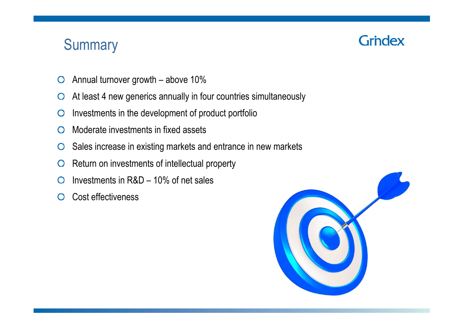## **Summary**

- Annual turnover growth above 10% $\bigcirc$
- At least 4 new generics annually in four countries simultaneously  $\bigcirc$
- Investments in the development of product portfolio $\bigcirc$
- Moderate investments in fixed assets  $\bigcirc$
- Sales increase in existing markets and entrance in new markets $\bigcirc$
- Return on investments of intellectual property $\bigcirc$
- Investments in R&D 10% of net sales $\bigcap$
- Cost effectiveness  $\bigcirc$